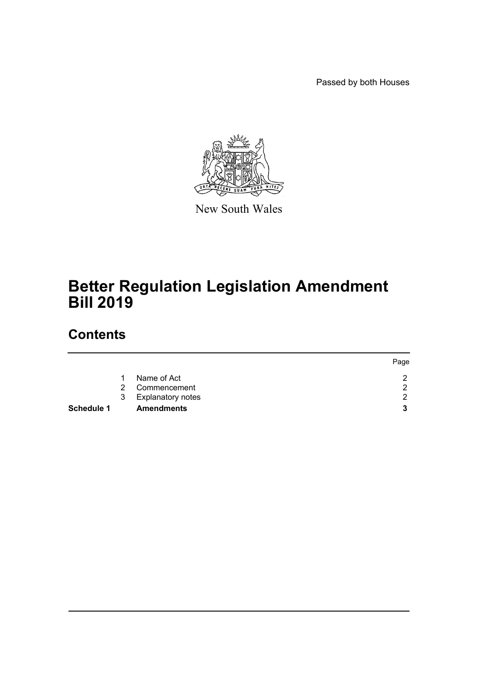Passed by both Houses



New South Wales

# **Better Regulation Legislation Amendment Bill 2019**

# **Contents**

|                   |   |                     | Page |
|-------------------|---|---------------------|------|
|                   |   | Name of Act         |      |
|                   | 2 | Commencement        | ◠    |
|                   |   | 3 Explanatory notes | ◠    |
| <b>Schedule 1</b> |   | <b>Amendments</b>   | 2    |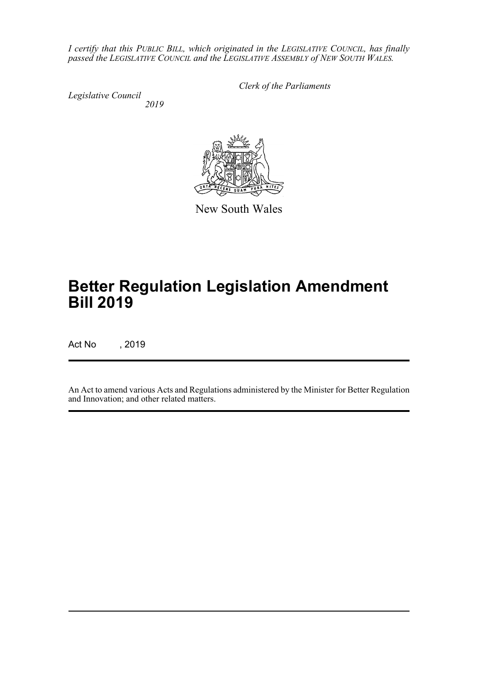*I certify that this PUBLIC BILL, which originated in the LEGISLATIVE COUNCIL, has finally passed the LEGISLATIVE COUNCIL and the LEGISLATIVE ASSEMBLY of NEW SOUTH WALES.*

*Legislative Council 2019* *Clerk of the Parliaments*



New South Wales

# **Better Regulation Legislation Amendment Bill 2019**

Act No , 2019

An Act to amend various Acts and Regulations administered by the Minister for Better Regulation and Innovation; and other related matters.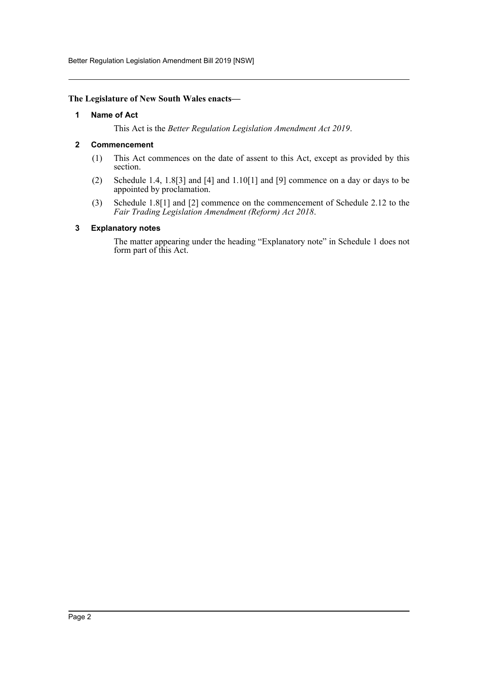Better Regulation Legislation Amendment Bill 2019 [NSW]

## <span id="page-2-0"></span>**The Legislature of New South Wales enacts—**

#### **1 Name of Act**

This Act is the *Better Regulation Legislation Amendment Act 2019*.

# <span id="page-2-1"></span>**2 Commencement**

- (1) This Act commences on the date of assent to this Act, except as provided by this section.
- (2) Schedule 1.4, 1.8[3] and [4] and 1.10[1] and [9] commence on a day or days to be appointed by proclamation.
- (3) Schedule 1.8[1] and [2] commence on the commencement of Schedule 2.12 to the *Fair Trading Legislation Amendment (Reform) Act 2018*.

# <span id="page-2-2"></span>**3 Explanatory notes**

The matter appearing under the heading "Explanatory note" in Schedule 1 does not form part of this Act.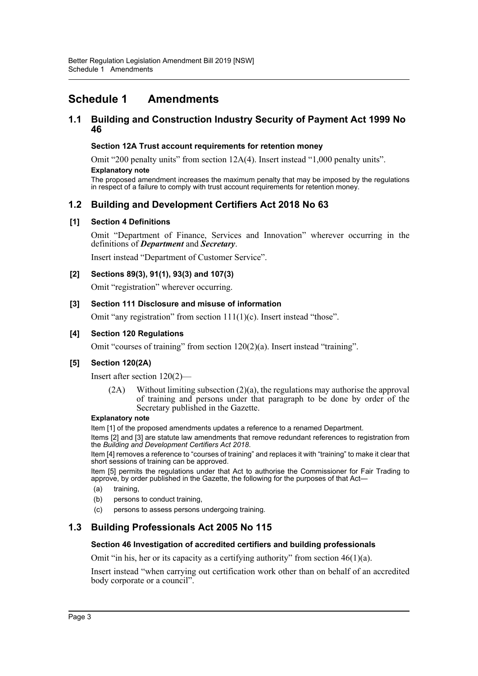# <span id="page-3-0"></span>**Schedule 1 Amendments**

# **1.1 Building and Construction Industry Security of Payment Act 1999 No 46**

# **Section 12A Trust account requirements for retention money**

Omit "200 penalty units" from section 12A(4). Insert instead "1,000 penalty units".

#### **Explanatory note**

The proposed amendment increases the maximum penalty that may be imposed by the regulations in respect of a failure to comply with trust account requirements for retention money.

# **1.2 Building and Development Certifiers Act 2018 No 63**

# **[1] Section 4 Definitions**

Omit "Department of Finance, Services and Innovation" wherever occurring in the definitions of *Department* and *Secretary*.

Insert instead "Department of Customer Service".

# **[2] Sections 89(3), 91(1), 93(3) and 107(3)**

Omit "registration" wherever occurring.

# **[3] Section 111 Disclosure and misuse of information**

Omit "any registration" from section 111(1)(c). Insert instead "those".

# **[4] Section 120 Regulations**

Omit "courses of training" from section 120(2)(a). Insert instead "training".

# **[5] Section 120(2A)**

Insert after section 120(2)—

(2A) Without limiting subsection (2)(a), the regulations may authorise the approval of training and persons under that paragraph to be done by order of the Secretary published in the Gazette.

#### **Explanatory note**

Item [1] of the proposed amendments updates a reference to a renamed Department.

Items [2] and [3] are statute law amendments that remove redundant references to registration from the *Building and Development Certifiers Act 2018*.

Item [4] removes a reference to "courses of training" and replaces it with "training" to make it clear that short sessions of training can be approved.

Item [5] permits the regulations under that Act to authorise the Commissioner for Fair Trading to approve, by order published in the Gazette, the following for the purposes of that Act—

- (a) training,
- (b) persons to conduct training,
- (c) persons to assess persons undergoing training.

# **1.3 Building Professionals Act 2005 No 115**

# **Section 46 Investigation of accredited certifiers and building professionals**

Omit "in his, her or its capacity as a certifying authority" from section  $46(1)(a)$ .

Insert instead "when carrying out certification work other than on behalf of an accredited body corporate or a council".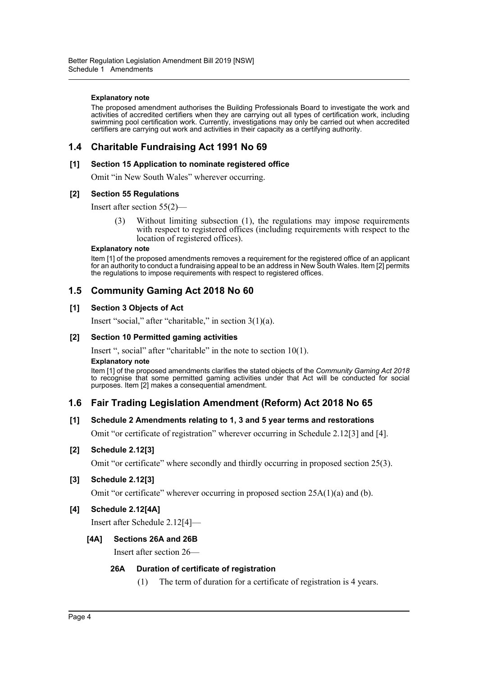#### **Explanatory note**

The proposed amendment authorises the Building Professionals Board to investigate the work and activities of accredited certifiers when they are carrying out all types of certification work, including swimming pool certification work. Currently, investigations may only be carried out when accredited certifiers are carrying out work and activities in their capacity as a certifying authority.

# **1.4 Charitable Fundraising Act 1991 No 69**

#### **[1] Section 15 Application to nominate registered office**

Omit "in New South Wales" wherever occurring.

#### **[2] Section 55 Regulations**

Insert after section 55(2)—

(3) Without limiting subsection (1), the regulations may impose requirements with respect to registered offices (including requirements with respect to the location of registered offices).

#### **Explanatory note**

Item [1] of the proposed amendments removes a requirement for the registered office of an applicant for an authority to conduct a fundraising appeal to be an address in New South Wales. Item [2] permits the regulations to impose requirements with respect to registered offices.

# **1.5 Community Gaming Act 2018 No 60**

# **[1] Section 3 Objects of Act**

Insert "social," after "charitable," in section 3(1)(a).

## **[2] Section 10 Permitted gaming activities**

Insert ", social" after "charitable" in the note to section 10(1).

#### **Explanatory note**

Item [1] of the proposed amendments clarifies the stated objects of the *Community Gaming Act 2018* to recognise that some permitted gaming activities under that Act will be conducted for social purposes. Item [2] makes a consequential amendment.

# **1.6 Fair Trading Legislation Amendment (Reform) Act 2018 No 65**

# **[1] Schedule 2 Amendments relating to 1, 3 and 5 year terms and restorations**

Omit "or certificate of registration" wherever occurring in Schedule 2.12[3] and [4].

# **[2] Schedule 2.12[3]**

Omit "or certificate" where secondly and thirdly occurring in proposed section 25(3).

# **[3] Schedule 2.12[3]**

Omit "or certificate" wherever occurring in proposed section  $25A(1)(a)$  and (b).

# **[4] Schedule 2.12[4A]**

Insert after Schedule 2.12[4]—

# **[4A] Sections 26A and 26B**

Insert after section 26—

# **26A Duration of certificate of registration**

(1) The term of duration for a certificate of registration is 4 years.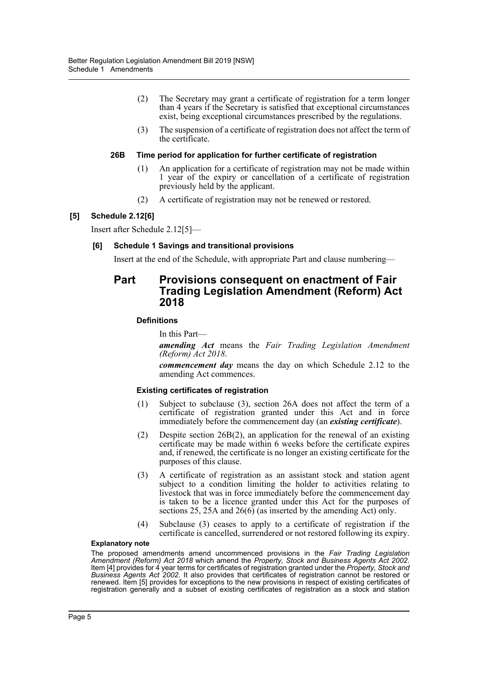- (2) The Secretary may grant a certificate of registration for a term longer than 4 years if the Secretary is satisfied that exceptional circumstances exist, being exceptional circumstances prescribed by the regulations.
- (3) The suspension of a certificate of registration does not affect the term of the certificate.

# **26B Time period for application for further certificate of registration**

- (1) An application for a certificate of registration may not be made within 1 year of the expiry or cancellation of a certificate of registration previously held by the applicant.
- (2) A certificate of registration may not be renewed or restored.

# **[5] Schedule 2.12[6]**

Insert after Schedule 2.12[5]—

# **[6] Schedule 1 Savings and transitional provisions**

Insert at the end of the Schedule, with appropriate Part and clause numbering—

# **Part Provisions consequent on enactment of Fair Trading Legislation Amendment (Reform) Act 2018**

# **Definitions**

In this Part—

*amending Act* means the *Fair Trading Legislation Amendment (Reform) Act 2018*.

*commencement day* means the day on which Schedule 2.12 to the amending Act commences.

# **Existing certificates of registration**

- (1) Subject to subclause (3), section 26A does not affect the term of a certificate of registration granted under this Act and in force immediately before the commencement day (an *existing certificate*).
- (2) Despite section 26B(2), an application for the renewal of an existing certificate may be made within 6 weeks before the certificate expires and, if renewed, the certificate is no longer an existing certificate for the purposes of this clause.
- (3) A certificate of registration as an assistant stock and station agent subject to a condition limiting the holder to activities relating to livestock that was in force immediately before the commencement day is taken to be a licence granted under this Act for the purposes of sections 25, 25A and 26(6) (as inserted by the amending Act) only.
- (4) Subclause (3) ceases to apply to a certificate of registration if the certificate is cancelled, surrendered or not restored following its expiry.

#### **Explanatory note**

The proposed amendments amend uncommenced provisions in the *Fair Trading Legislation Amendment (Reform) Act 2018* which amend the *Property, Stock and Business Agents Act 2002*. Item [4] provides for 4 year terms for certificates of registration granted under the *Property, Stock and Business Agents Act 2002*. It also provides that certificates of registration cannot be restored or renewed. Item [5] provides for exceptions to the new provisions in respect of existing certificates of registration generally and a subset of existing certificates of registration as a stock and station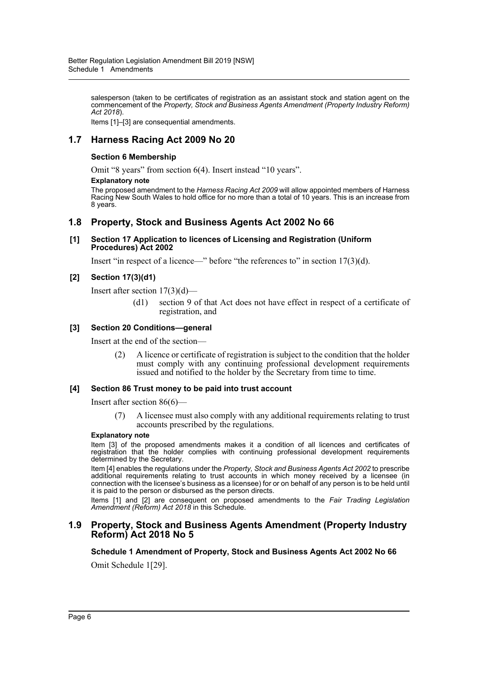salesperson (taken to be certificates of registration as an assistant stock and station agent on the commencement of the *Property, Stock and Business Agents Amendment (Property Industry Reform) Act 2018*).

Items [1]–[3] are consequential amendments.

# **1.7 Harness Racing Act 2009 No 20**

# **Section 6 Membership**

Omit "8 years" from section 6(4). Insert instead "10 years".

#### **Explanatory note**

The proposed amendment to the *Harness Racing Act 2009* will allow appointed members of Harness Racing New South Wales to hold office for no more than a total of 10 years. This is an increase from 8 years.

# **1.8 Property, Stock and Business Agents Act 2002 No 66**

#### **[1] Section 17 Application to licences of Licensing and Registration (Uniform Procedures) Act 2002**

Insert "in respect of a licence—" before "the references to" in section 17(3)(d).

# **[2] Section 17(3)(d1)**

Insert after section 17(3)(d)—

(d1) section 9 of that Act does not have effect in respect of a certificate of registration, and

# **[3] Section 20 Conditions—general**

Insert at the end of the section—

(2) A licence or certificate of registration is subject to the condition that the holder must comply with any continuing professional development requirements issued and notified to the holder by the Secretary from time to time.

# **[4] Section 86 Trust money to be paid into trust account**

Insert after section 86(6)—

(7) A licensee must also comply with any additional requirements relating to trust accounts prescribed by the regulations.

#### **Explanatory note**

Item [3] of the proposed amendments makes it a condition of all licences and certificates of registration that the holder complies with continuing professional development requirements determined by the Secretary.

Item [4] enables the regulations under the *Property, Stock and Business Agents Act 2002* to prescribe additional requirements relating to trust accounts in which money received by a licensee (in connection with the licensee's business as a licensee) for or on behalf of any person is to be held until it is paid to the person or disbursed as the person directs.

Items [1] and [2] are consequent on proposed amendments to the *Fair Trading Legislation Amendment (Reform) Act 2018* in this Schedule.

# **1.9 Property, Stock and Business Agents Amendment (Property Industry Reform) Act 2018 No 5**

**Schedule 1 Amendment of Property, Stock and Business Agents Act 2002 No 66**

Omit Schedule 1[29].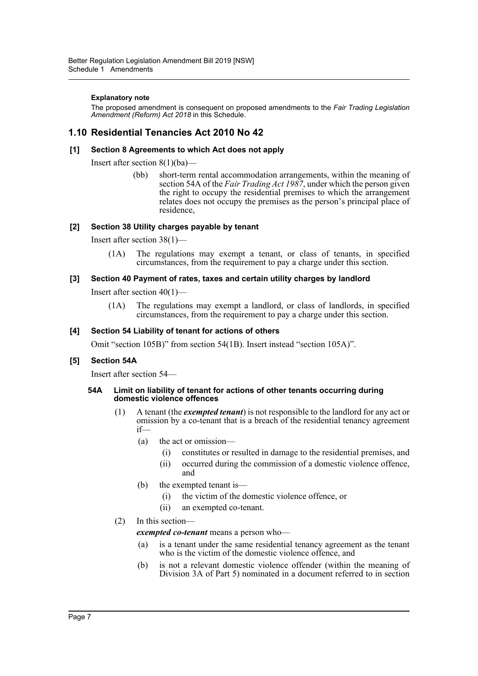## **Explanatory note**

The proposed amendment is consequent on proposed amendments to the *Fair Trading Legislation Amendment (Reform) Act 2018* in this Schedule.

# **1.10 Residential Tenancies Act 2010 No 42**

# **[1] Section 8 Agreements to which Act does not apply**

Insert after section 8(1)(ba)—

(bb) short-term rental accommodation arrangements, within the meaning of section 54A of the *Fair Trading Act 1987*, under which the person given the right to occupy the residential premises to which the arrangement relates does not occupy the premises as the person's principal place of residence,

# **[2] Section 38 Utility charges payable by tenant**

Insert after section 38(1)—

(1A) The regulations may exempt a tenant, or class of tenants, in specified circumstances, from the requirement to pay a charge under this section.

# **[3] Section 40 Payment of rates, taxes and certain utility charges by landlord**

Insert after section  $40(1)$ —

(1A) The regulations may exempt a landlord, or class of landlords, in specified circumstances, from the requirement to pay a charge under this section.

# **[4] Section 54 Liability of tenant for actions of others**

Omit "section 105B)" from section 54(1B). Insert instead "section 105A)".

# **[5] Section 54A**

Insert after section 54—

#### **54A Limit on liability of tenant for actions of other tenants occurring during domestic violence offences**

- (1) A tenant (the *exempted tenant*) is not responsible to the landlord for any act or omission by a co-tenant that is a breach of the residential tenancy agreement if—
	- (a) the act or omission—
		- (i) constitutes or resulted in damage to the residential premises, and
		- (ii) occurred during the commission of a domestic violence offence, and
	- (b) the exempted tenant is—
		- (i) the victim of the domestic violence offence, or
		- (ii) an exempted co-tenant.

# (2) In this section—

*exempted co-tenant* means a person who—

- (a) is a tenant under the same residential tenancy agreement as the tenant who is the victim of the domestic violence offence, and
- (b) is not a relevant domestic violence offender (within the meaning of Division 3A of Part 5) nominated in a document referred to in section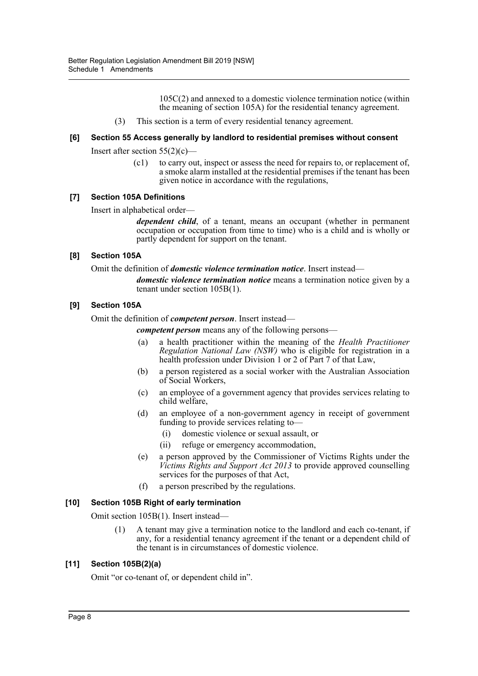105C(2) and annexed to a domestic violence termination notice (within the meaning of section 105A) for the residential tenancy agreement.

(3) This section is a term of every residential tenancy agreement.

## **[6] Section 55 Access generally by landlord to residential premises without consent**

Insert after section  $55(2)(c)$ —

(c1) to carry out, inspect or assess the need for repairs to, or replacement of, a smoke alarm installed at the residential premises if the tenant has been given notice in accordance with the regulations,

#### **[7] Section 105A Definitions**

Insert in alphabetical order—

*dependent child*, of a tenant, means an occupant (whether in permanent occupation or occupation from time to time) who is a child and is wholly or partly dependent for support on the tenant.

#### **[8] Section 105A**

Omit the definition of *domestic violence termination notice*. Insert instead—

*domestic violence termination notice* means a termination notice given by a tenant under section 105B(1).

#### **[9] Section 105A**

Omit the definition of *competent person*. Insert instead—

*competent person* means any of the following persons—

- (a) a health practitioner within the meaning of the *Health Practitioner Regulation National Law (NSW)* who is eligible for registration in a health profession under Division 1 or 2 of Part 7 of that Law,
- (b) a person registered as a social worker with the Australian Association of Social Workers,
- (c) an employee of a government agency that provides services relating to child welfare,
- (d) an employee of a non-government agency in receipt of government funding to provide services relating to—
	- (i) domestic violence or sexual assault, or
	- (ii) refuge or emergency accommodation,
- (e) a person approved by the Commissioner of Victims Rights under the *Victims Rights and Support Act 2013* to provide approved counselling services for the purposes of that Act,
- (f) a person prescribed by the regulations.

# **[10] Section 105B Right of early termination**

Omit section 105B(1). Insert instead—

(1) A tenant may give a termination notice to the landlord and each co-tenant, if any, for a residential tenancy agreement if the tenant or a dependent child of the tenant is in circumstances of domestic violence.

# **[11] Section 105B(2)(a)**

Omit "or co-tenant of, or dependent child in".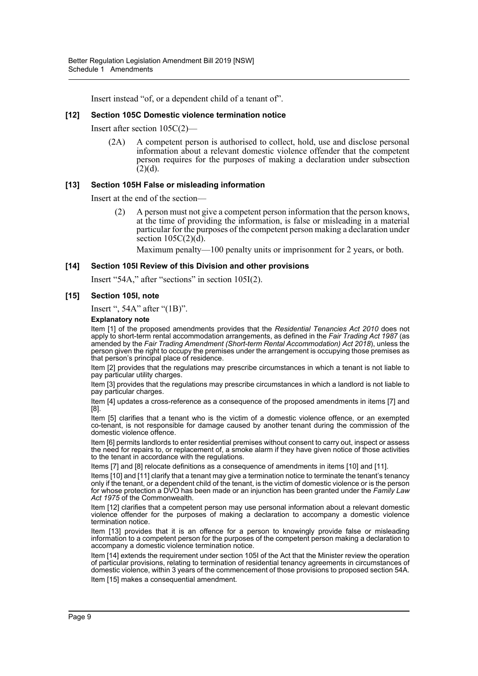Insert instead "of, or a dependent child of a tenant of".

## **[12] Section 105C Domestic violence termination notice**

Insert after section 105C(2)—

(2A) A competent person is authorised to collect, hold, use and disclose personal information about a relevant domestic violence offender that the competent person requires for the purposes of making a declaration under subsection  $(2)(d)$ .

#### **[13] Section 105H False or misleading information**

Insert at the end of the section—

(2) A person must not give a competent person information that the person knows, at the time of providing the information, is false or misleading in a material particular for the purposes of the competent person making a declaration under section  $105C(2)(d)$ .

Maximum penalty—100 penalty units or imprisonment for 2 years, or both.

#### **[14] Section 105I Review of this Division and other provisions**

Insert "54A," after "sections" in section 105I(2).

#### **[15] Section 105I, note**

Insert ", 54A" after "(1B)".

#### **Explanatory note**

Item [1] of the proposed amendments provides that the *Residential Tenancies Act 2010* does not apply to short-term rental accommodation arrangements, as defined in the *Fair Trading Act 1987* (as amended by the *Fair Trading Amendment (Short-term Rental Accommodation) Act 2018*), unless the person given the right to occupy the premises under the arrangement is occupying those premises as that person's principal place of residence.

Item [2] provides that the regulations may prescribe circumstances in which a tenant is not liable to pay particular utility charges.

Item [3] provides that the regulations may prescribe circumstances in which a landlord is not liable to pay particular charges.

Item [4] updates a cross-reference as a consequence of the proposed amendments in items [7] and [8].

Item [5] clarifies that a tenant who is the victim of a domestic violence offence, or an exempted co-tenant, is not responsible for damage caused by another tenant during the commission of the domestic violence offence.

Item [6] permits landlords to enter residential premises without consent to carry out, inspect or assess the need for repairs to, or replacement of, a smoke alarm if they have given notice of those activities to the tenant in accordance with the regulations.

Items [7] and [8] relocate definitions as a consequence of amendments in items [10] and [11].

Items [10] and [11] clarify that a tenant may give a termination notice to terminate the tenant's tenancy only if the tenant, or a dependent child of the tenant, is the victim of domestic violence or is the person for whose protection a DVO has been made or an injunction has been granted under the *Family Law Act 1975* of the Commonwealth.

Item [12] clarifies that a competent person may use personal information about a relevant domestic violence offender for the purposes of making a declaration to accompany a domestic violence termination notice.

Item [13] provides that it is an offence for a person to knowingly provide false or misleading information to a competent person for the purposes of the competent person making a declaration to accompany a domestic violence termination notice.

Item [14] extends the requirement under section 105I of the Act that the Minister review the operation of particular provisions, relating to termination of residential tenancy agreements in circumstances of domestic violence, within 3 years of the commencement of those provisions to proposed section 54A. Item [15] makes a consequential amendment.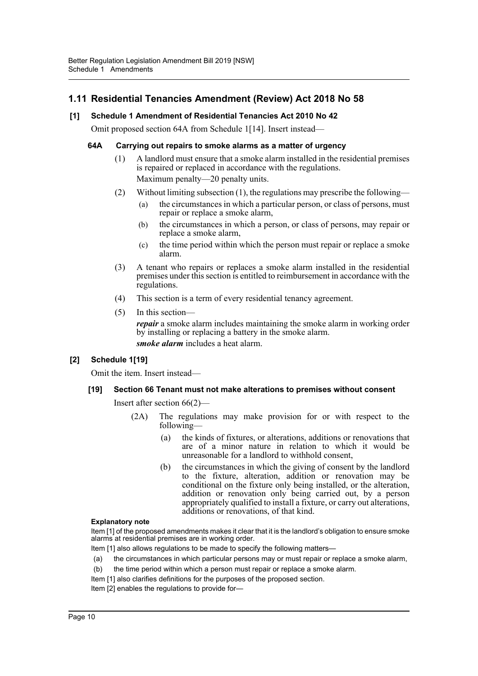# **1.11 Residential Tenancies Amendment (Review) Act 2018 No 58**

# **[1] Schedule 1 Amendment of Residential Tenancies Act 2010 No 42**

Omit proposed section 64A from Schedule 1[14]. Insert instead—

# **64A Carrying out repairs to smoke alarms as a matter of urgency**

- (1) A landlord must ensure that a smoke alarm installed in the residential premises is repaired or replaced in accordance with the regulations. Maximum penalty—20 penalty units.
- (2) Without limiting subsection (1), the regulations may prescribe the following—
	- (a) the circumstances in which a particular person, or class of persons, must repair or replace a smoke alarm,
	- (b) the circumstances in which a person, or class of persons, may repair or replace a smoke alarm,
	- (c) the time period within which the person must repair or replace a smoke alarm.
- (3) A tenant who repairs or replaces a smoke alarm installed in the residential premises under this section is entitled to reimbursement in accordance with the regulations.
- (4) This section is a term of every residential tenancy agreement.
- (5) In this section—

*repair* a smoke alarm includes maintaining the smoke alarm in working order by installing or replacing a battery in the smoke alarm. *smoke alarm* includes a heat alarm.

# **[2] Schedule 1[19]**

Omit the item. Insert instead—

# **[19] Section 66 Tenant must not make alterations to premises without consent**

Insert after section 66(2)—

- (2A) The regulations may make provision for or with respect to the following—
	- (a) the kinds of fixtures, or alterations, additions or renovations that are of a minor nature in relation to which it would be unreasonable for a landlord to withhold consent,
	- (b) the circumstances in which the giving of consent by the landlord to the fixture, alteration, addition or renovation may be conditional on the fixture only being installed, or the alteration, addition or renovation only being carried out, by a person appropriately qualified to install a fixture, or carry out alterations, additions or renovations, of that kind.

#### **Explanatory note**

Item [1] of the proposed amendments makes it clear that it is the landlord's obligation to ensure smoke alarms at residential premises are in working order.

- Item [1] also allows regulations to be made to specify the following matters—
- (a) the circumstances in which particular persons may or must repair or replace a smoke alarm,
- (b) the time period within which a person must repair or replace a smoke alarm.
- Item [1] also clarifies definitions for the purposes of the proposed section.
- Item [2] enables the regulations to provide for-